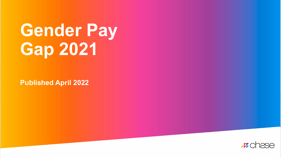# **Gender Pay Gap 2021**

**Published April 2022** 

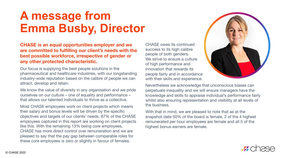### **A message from Emma Busby, Director**

#### **CHASE is an equal opportunities employer and we are committed to fulfilling our client's needs with the best possible workforce, irrespective of gender or any other protected characteristic.**

Our focus is supplying the best people solutions in the pharmaceutical and healthcare industries, with our longstanding industry-wide reputation based on the calibre of people we can attract, develop and retain.

We know the value of diversity in any organisation and we pride ourselves on our culture – one of equality and performance – that allows our talented individuals to thrive as a collective.

Most CHASE employees work on client projects which means their salary and bonus levels will be driven by the specific objectives and targets of our clients' needs. 87% of the CHASE employees captured in this report are working on client projects like this. With the remaining 13% being core employees, CHASE has more direct control over remuneration and we are pleased to say that the pay gap between comparable roles for these core employees is zero or slightly in favour of females.

CHASE owes its continued success to its high calibre people of both genders. We strive to ensure a culture of high performance and innovation that rewards its people fairly and in accordance with their skills and experience.



Nevertheless we acknowledge that unconscious biases can perpetuate inequality and we will ensure managers have the knowledge and skills to appraise individual's performance fairly whilst also ensuring representation and visibility at all levels of the business.

With that in mind, we are pleased to note that as at the snapshot date 50% of the board is female, 2 of the 4 highest remunerated per hour employees are female and all 5 of the highest bonus earners are female.

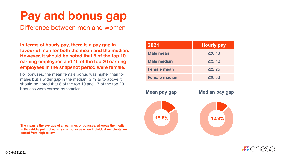# **Pay and bonus gap**

Difference between men and women

**In terms of hourly pay, there is a pay gap in favour of men for both the mean and the median. However, it should be noted that 6 of the top 10 earning employees and 10 of the top 20 earning employees in the snapshot period were female.**

For bonuses, the mean female bonus was higher than for males but a wider gap in the median. Similar to above it should be noted that 8 of the top 10 and 17 of the top 20 bonuses were earned by females.

**The mean is the average of all earnings or bonuses, whereas the median is the middle point of earnings or bonuses when individual recipients are sorted from high to low.**

| 2021                 | <b>Hourly pay</b> |
|----------------------|-------------------|
| <b>Male mean</b>     | £26.43            |
| <b>Male median</b>   | £23.40            |
| <b>Female mean</b>   | £22.25            |
| <b>Female median</b> | £20.53            |



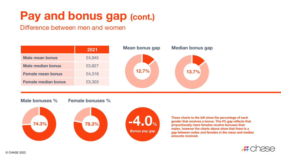# **Pay and bonus gap (cont.)**

Difference between men and women



#### **Male bonuses %**

**Female bonuses %**





**These charts to the left show the percentage of each gender that receives a bonus. The 4% gap reflects that proportionally more females receive bonuses than males, however the charts above show that there is a gap between males and females in the mean and median amounts received.**

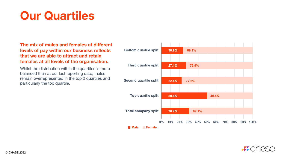## **Our Quartiles**

### **The mix of males and females at different levels of pay within our business reflects that we are able to attract and retain females at all levels of the organisation.**

Whilst the distribution within the quartiles is more balanced than at our last reporting date, males remain overrepresented in the top 2 quartiles and particularly the top quartile.